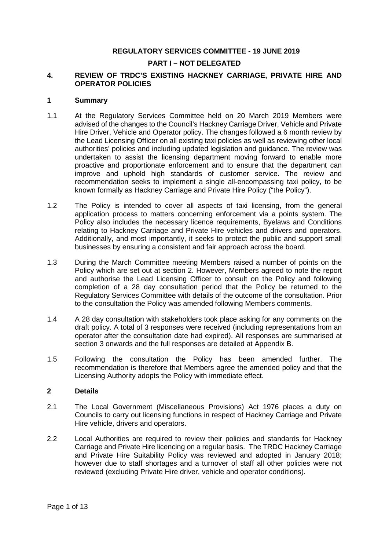#### **REGULATORY SERVICES COMMITTEE - 19 JUNE 2019**

# **PART I – NOT DELEGATED**

#### **4. REVIEW OF TRDC'S EXISTING HACKNEY CARRIAGE, PRIVATE HIRE AND OPERATOR POLICIES**

#### **1 Summary**

- 1.1 At the Regulatory Services Committee held on 20 March 2019 Members were advised of the changes to the Council's Hackney Carriage Driver, Vehicle and Private Hire Driver, Vehicle and Operator policy. The changes followed a 6 month review by the Lead Licensing Officer on all existing taxi policies as well as reviewing other local authorities' policies and including updated legislation and guidance. The review was undertaken to assist the licensing department moving forward to enable more proactive and proportionate enforcement and to ensure that the department can improve and uphold high standards of customer service. The review and recommendation seeks to implement a single all-encompassing taxi policy, to be known formally as Hackney Carriage and Private Hire Policy ("the Policy").
- 1.2 The Policy is intended to cover all aspects of taxi licensing, from the general application process to matters concerning enforcement via a points system. The Policy also includes the necessary licence requirements, Byelaws and Conditions relating to Hackney Carriage and Private Hire vehicles and drivers and operators. Additionally, and most importantly, it seeks to protect the public and support small businesses by ensuring a consistent and fair approach across the board.
- 1.3 During the March Committee meeting Members raised a number of points on the Policy which are set out at section 2. However, Members agreed to note the report and authorise the Lead Licensing Officer to consult on the Policy and following completion of a 28 day consultation period that the Policy be returned to the Regulatory Services Committee with details of the outcome of the consultation. Prior to the consultation the Policy was amended following Members comments.
- 1.4 A 28 day consultation with stakeholders took place asking for any comments on the draft policy. A total of 3 responses were received (including representations from an operator after the consultation date had expired). All responses are summarised at section 3 onwards and the full responses are detailed at Appendix B.
- 1.5 Following the consultation the Policy has been amended further. The recommendation is therefore that Members agree the amended policy and that the Licensing Authority adopts the Policy with immediate effect.

#### **2 Details**

- 2.1 The Local Government (Miscellaneous Provisions) Act 1976 places a duty on Councils to carry out licensing functions in respect of Hackney Carriage and Private Hire vehicle, drivers and operators.
- 2.2 Local Authorities are required to review their policies and standards for Hackney Carriage and Private Hire licencing on a regular basis. The TRDC Hackney Carriage and Private Hire Suitability Policy was reviewed and adopted in January 2018; however due to staff shortages and a turnover of staff all other policies were not reviewed (excluding Private Hire driver, vehicle and operator conditions).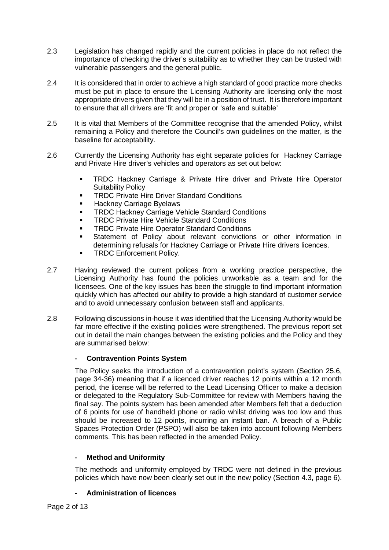- 2.3 Legislation has changed rapidly and the current policies in place do not reflect the importance of checking the driver's suitability as to whether they can be trusted with vulnerable passengers and the general public.
- 2.4 It is considered that in order to achieve a high standard of good practice more checks must be put in place to ensure the Licensing Authority are licensing only the most appropriate drivers given that they will be in a position of trust. It is therefore important to ensure that all drivers are 'fit and proper or 'safe and suitable'
- 2.5 It is vital that Members of the Committee recognise that the amended Policy, whilst remaining a Policy and therefore the Council's own guidelines on the matter, is the baseline for acceptability.
- 2.6 Currently the Licensing Authority has eight separate policies for Hackney Carriage and Private Hire driver's vehicles and operators as set out below:
	- TRDC Hackney Carriage & Private Hire driver and Private Hire Operator Suitability Policy
	- TRDC Private Hire Driver Standard Conditions
	- **Hackney Carriage Byelaws**
	- **TRDC Hackney Carriage Vehicle Standard Conditions**
	- TRDC Private Hire Vehicle Standard Conditions
	- **TRDC Private Hire Operator Standard Conditions**
	- **Statement of Policy about relevant convictions or other information in** determining refusals for Hackney Carriage or Private Hire drivers licences.
	- **TRDC Enforcement Policy.**
- 2.7 Having reviewed the current polices from a working practice perspective, the Licensing Authority has found the policies unworkable as a team and for the licensees. One of the key issues has been the struggle to find important information quickly which has affected our ability to provide a high standard of customer service and to avoid unnecessary confusion between staff and applicants.
- 2.8 Following discussions in-house it was identified that the Licensing Authority would be far more effective if the existing policies were strengthened. The previous report set out in detail the main changes between the existing policies and the Policy and they are summarised below:

# **- Contravention Points System**

The Policy seeks the introduction of a contravention point's system (Section 25.6, page 34-36) meaning that if a licenced driver reaches 12 points within a 12 month period, the license will be referred to the Lead Licensing Officer to make a decision or delegated to the Regulatory Sub-Committee for review with Members having the final say. The points system has been amended after Members felt that a deduction of 6 points for use of handheld phone or radio whilst driving was too low and thus should be increased to 12 points, incurring an instant ban. A breach of a Public Spaces Protection Order (PSPO) will also be taken into account following Members comments. This has been reflected in the amended Policy.

# **- Method and Uniformity**

The methods and uniformity employed by TRDC were not defined in the previous policies which have now been clearly set out in the new policy (Section 4.3, page 6).

# **- Administration of licences**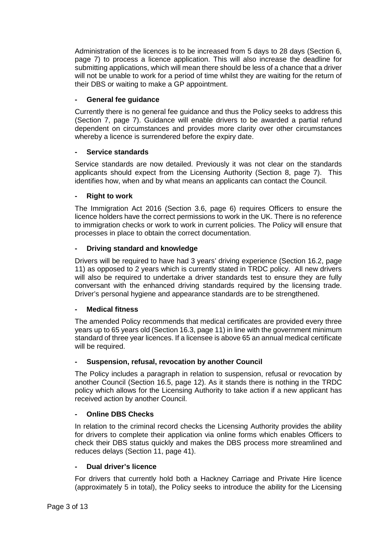Administration of the licences is to be increased from 5 days to 28 days (Section 6, page 7) to process a licence application. This will also increase the deadline for submitting applications, which will mean there should be less of a chance that a driver will not be unable to work for a period of time whilst they are waiting for the return of their DBS or waiting to make a GP appointment.

# **- General fee guidance**

Currently there is no general fee guidance and thus the Policy seeks to address this (Section 7, page 7). Guidance will enable drivers to be awarded a partial refund dependent on circumstances and provides more clarity over other circumstances whereby a licence is surrendered before the expiry date.

# **- Service standards**

Service standards are now detailed. Previously it was not clear on the standards applicants should expect from the Licensing Authority (Section 8, page 7). This identifies how, when and by what means an applicants can contact the Council.

# **- Right to work**

The Immigration Act 2016 (Section 3.6, page 6) requires Officers to ensure the licence holders have the correct permissions to work in the UK. There is no reference to immigration checks or work to work in current policies. The Policy will ensure that processes in place to obtain the correct documentation.

# **- Driving standard and knowledge**

Drivers will be required to have had 3 years' driving experience (Section 16.2, page 11) as opposed to 2 years which is currently stated in TRDC policy. All new drivers will also be required to undertake a driver standards test to ensure they are fully conversant with the enhanced driving standards required by the licensing trade. Driver's personal hygiene and appearance standards are to be strengthened.

# **- Medical fitness**

The amended Policy recommends that medical certificates are provided every three years up to 65 years old (Section 16.3, page 11) in line with the government minimum standard of three year licences. If a licensee is above 65 an annual medical certificate will be required.

# **- Suspension, refusal, revocation by another Council**

The Policy includes a paragraph in relation to suspension, refusal or revocation by another Council (Section 16.5, page 12). As it stands there is nothing in the TRDC policy which allows for the Licensing Authority to take action if a new applicant has received action by another Council.

# **- Online DBS Checks**

In relation to the criminal record checks the Licensing Authority provides the ability for drivers to complete their application via online forms which enables Officers to check their DBS status quickly and makes the DBS process more streamlined and reduces delays (Section 11, page 41).

# **- Dual driver's licence**

For drivers that currently hold both a Hackney Carriage and Private Hire licence (approximately 5 in total), the Policy seeks to introduce the ability for the Licensing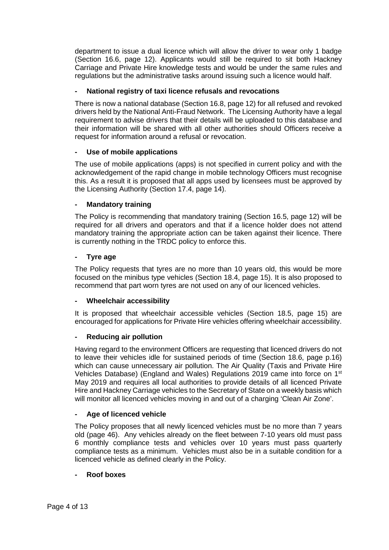department to issue a dual licence which will allow the driver to wear only 1 badge (Section 16.6, page 12). Applicants would still be required to sit both Hackney Carriage and Private Hire knowledge tests and would be under the same rules and regulations but the administrative tasks around issuing such a licence would half.

# **- National registry of taxi licence refusals and revocations**

There is now a national database (Section 16.8, page 12) for all refused and revoked drivers held by the National Anti-Fraud Network. The Licensing Authority have a legal requirement to advise drivers that their details will be uploaded to this database and their information will be shared with all other authorities should Officers receive a request for information around a refusal or revocation.

# **- Use of mobile applications**

The use of mobile applications (apps) is not specified in current policy and with the acknowledgement of the rapid change in mobile technology Officers must recognise this. As a result it is proposed that all apps used by licensees must be approved by the Licensing Authority (Section 17.4, page 14).

# **- Mandatory training**

The Policy is recommending that mandatory training (Section 16.5, page 12) will be required for all drivers and operators and that if a licence holder does not attend mandatory training the appropriate action can be taken against their licence. There is currently nothing in the TRDC policy to enforce this.

# **- Tyre age**

The Policy requests that tyres are no more than 10 years old, this would be more focused on the minibus type vehicles (Section 18.4, page 15). It is also proposed to recommend that part worn tyres are not used on any of our licenced vehicles.

# **- Wheelchair accessibility**

It is proposed that wheelchair accessible vehicles (Section 18.5, page 15) are encouraged for applications for Private Hire vehicles offering wheelchair accessibility.

# **- Reducing air pollution**

Having regard to the environment Officers are requesting that licenced drivers do not to leave their vehicles idle for sustained periods of time (Section 18.6, page p.16) which can cause unnecessary air pollution. The Air Quality (Taxis and Private Hire Vehicles Database) (England and Wales) Regulations 2019 came into force on 1st May 2019 and requires all local authorities to provide details of all licenced Private Hire and Hackney Carriage vehicles to the Secretary of State on a weekly basis which will monitor all licenced vehicles moving in and out of a charging 'Clean Air Zone'.

# **- Age of licenced vehicle**

The Policy proposes that all newly licenced vehicles must be no more than 7 years old (page 46). Any vehicles already on the fleet between 7-10 years old must pass 6 monthly compliance tests and vehicles over 10 years must pass quarterly compliance tests as a minimum. Vehicles must also be in a suitable condition for a licenced vehicle as defined clearly in the Policy.

# **- Roof boxes**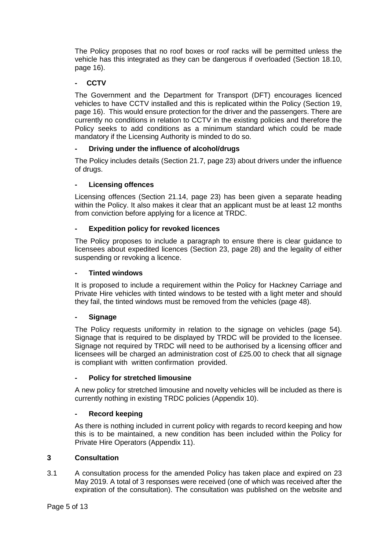The Policy proposes that no roof boxes or roof racks will be permitted unless the vehicle has this integrated as they can be dangerous if overloaded (Section 18.10, page 16).

# **- CCTV**

The Government and the Department for Transport (DFT) encourages licenced vehicles to have CCTV installed and this is replicated within the Policy (Section 19, page 16). This would ensure protection for the driver and the passengers. There are currently no conditions in relation to CCTV in the existing policies and therefore the Policy seeks to add conditions as a minimum standard which could be made mandatory if the Licensing Authority is minded to do so.

# **- Driving under the influence of alcohol/drugs**

The Policy includes details (Section 21.7, page 23) about drivers under the influence of drugs.

# **- Licensing offences**

Licensing offences (Section 21.14, page 23) has been given a separate heading within the Policy. It also makes it clear that an applicant must be at least 12 months from conviction before applying for a licence at TRDC.

# **- Expedition policy for revoked licences**

The Policy proposes to include a paragraph to ensure there is clear guidance to licensees about expedited licences (Section 23, page 28) and the legality of either suspending or revoking a licence.

#### **- Tinted windows**

It is proposed to include a requirement within the Policy for Hackney Carriage and Private Hire vehicles with tinted windows to be tested with a light meter and should they fail, the tinted windows must be removed from the vehicles (page 48).

# **- Signage**

The Policy requests uniformity in relation to the signage on vehicles (page 54). Signage that is required to be displayed by TRDC will be provided to the licensee. Signage not required by TRDC will need to be authorised by a licensing officer and licensees will be charged an administration cost of £25.00 to check that all signage is compliant with written confirmation provided.

# **- Policy for stretched limousine**

A new policy for stretched limousine and novelty vehicles will be included as there is currently nothing in existing TRDC policies (Appendix 10).

# **- Record keeping**

As there is nothing included in current policy with regards to record keeping and how this is to be maintained, a new condition has been included within the Policy for Private Hire Operators (Appendix 11).

# **3 Consultation**

3.1 A consultation process for the amended Policy has taken place and expired on 23 May 2019. A total of 3 responses were received (one of which was received after the expiration of the consultation). The consultation was published on the website and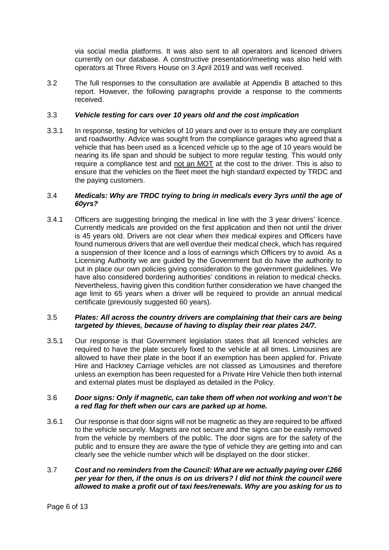via social media platforms. It was also sent to all operators and licenced drivers currently on our database. A constructive presentation/meeting was also held with operators at Three Rivers House on 3 April 2019 and was well received.

3.2 The full responses to the consultation are available at Appendix B attached to this report. However, the following paragraphs provide a response to the comments received.

#### 3.3 *Vehicle testing for cars over 10 years old and the cost implication*

3.3.1 In response, testing for vehicles of 10 years and over is to ensure they are compliant and roadworthy. Advice was sought from the compliance garages who agreed that a vehicle that has been used as a licenced vehicle up to the age of 10 years would be nearing its life span and should be subject to more regular testing. This would only require a compliance test and not an MOT at the cost to the driver. This is also to ensure that the vehicles on the fleet meet the high standard expected by TRDC and the paying customers.

#### 3.4 *Medicals: Why are TRDC trying to bring in medicals every 3yrs until the age of 60yrs?*

3.4.1 Officers are suggesting bringing the medical in line with the 3 year drivers' licence. Currently medicals are provided on the first application and then not until the driver is 45 years old. Drivers are not clear when their medical expires and Officers have found numerous drivers that are well overdue their medical check, which has required a suspension of their licence and a loss of earnings which Officers try to avoid. As a Licensing Authority we are guided by the Government but do have the authority to put in place our own policies giving consideration to the government guidelines. We have also considered bordering authorities' conditions in relation to medical checks. Nevertheless, having given this condition further consideration we have changed the age limit to 65 years when a driver will be required to provide an annual medical certificate (previously suggested 60 years).

#### 3.5 *Plates: All across the country drivers are complaining that their cars are being targeted by thieves, because of having to display their rear plates 24/7.*

3.5.1 Our response is that Government legislation states that all licenced vehicles are required to have the plate securely fixed to the vehicle at all times. Limousines are allowed to have their plate in the boot if an exemption has been applied for. Private Hire and Hackney Carriage vehicles are not classed as Limousines and therefore unless an exemption has been requested for a Private Hire Vehicle then both internal and external plates must be displayed as detailed in the Policy.

#### 3.6 *Door signs: Only if magnetic, can take them off when not working and won't be a red flag for theft when our cars are parked up at home.*

3.6.1 Our response is that door signs will not be magnetic as they are required to be affixed to the vehicle securely. Magnets are not secure and the signs can be easily removed from the vehicle by members of the public. The door signs are for the safety of the public and to ensure they are aware the type of vehicle they are getting into and can clearly see the vehicle number which will be displayed on the door sticker.

# 3.7 *Cost and no reminders from the Council: What are we actually paying over £266 per year for then, if the onus is on us drivers? l did not think the council were allowed to make a profit out of taxi fees/renewals. Why are you asking for us to*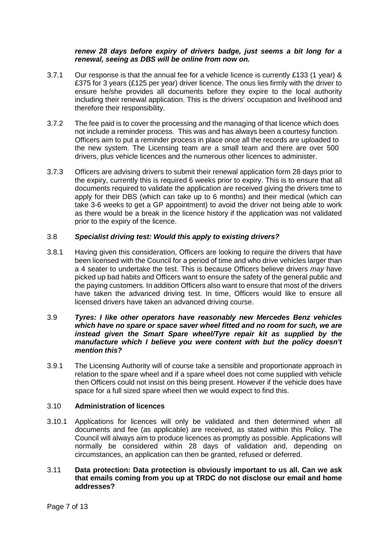#### *renew 28 days before expiry of drivers badge, just seems a bit long for a renewal, seeing as DBS will be online from now on.*

- 3.7.1 Our response is that the annual fee for a vehicle licence is currently £133 (1 year) & £375 for 3 years (£125 per year) driver licence. The onus lies firmly with the driver to ensure he/she provides all documents before they expire to the local authority including their renewal application. This is the drivers' occupation and livelihood and therefore their responsibility.
- 3.7.2 The fee paid is to cover the processing and the managing of that licence which does not include a reminder process. This was and has always been a courtesy function. Officers aim to put a reminder process in place once all the records are uploaded to the new system. The Licensing team are a small team and there are over 500 drivers, plus vehicle licences and the numerous other licences to administer.
- 3.7.3 Officers are advising drivers to submit their renewal application form 28 days prior to the expiry, currently this is required 6 weeks prior to expiry. This is to ensure that all documents required to validate the application are received giving the drivers time to apply for their DBS (which can take up to 6 months) and their medical (which can take 3-6 weeks to get a GP appointment) to avoid the driver not being able to work as there would be a break in the licence history if the application was not validated prior to the expiry of the licence.

#### 3.8 *Specialist driving test: Would this apply to existing drivers?*

- 3.8.1 Having given this consideration, Officers are looking to require the drivers that have been licensed with the Council for a period of time and who drive vehicles larger than a 4 seater to undertake the test. This is because Officers believe drivers *may* have picked up bad habits and Officers want to ensure the safety of the general public and the paying customers. In addition Officers also want to ensure that most of the drivers have taken the advanced driving test. In time, Officers would like to ensure all licensed drivers have taken an advanced driving course.
- 3.9 *Tyres: I like other operators have reasonably new Mercedes Benz vehicles which have no spare or space saver wheel fitted and no room for such, we are*  instead given the Smart Spare wheel/Tyre repair kit as supplied by the *manufacture which I believe you were content with but the policy doesn't mention this?*
- 3.9.1 The Licensing Authority will of course take a sensible and proportionate approach in relation to the spare wheel and if a spare wheel does not come supplied with vehicle then Officers could not insist on this being present. However if the vehicle does have space for a full sized spare wheel then we would expect to find this.

# 3.10 **Administration of licences**

- 3.10.1 Applications for licences will only be validated and then determined when all documents and fee (as applicable) are received, as stated within this Policy. The Council will always aim to produce licences as promptly as possible. Applications will normally be considered within 28 days of validation and, depending on circumstances, an application can then be granted, refused or deferred.
- 3.11 **Data protection: Data protection is obviously important to us all. Can we ask that emails coming from you up at TRDC do not disclose our email and home addresses?**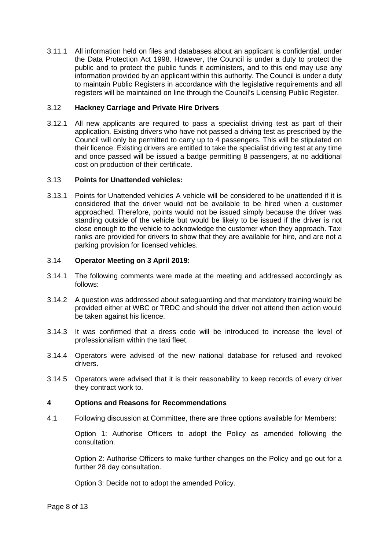3.11.1 All information held on files and databases about an applicant is confidential, under the Data Protection Act 1998. However, the Council is under a duty to protect the public and to protect the public funds it administers, and to this end may use any information provided by an applicant within this authority. The Council is under a duty to maintain Public Registers in accordance with the legislative requirements and all registers will be maintained on line through the Council's Licensing Public Register.

# 3.12 **Hackney Carriage and Private Hire Drivers**

3.12.1 All new applicants are required to pass a specialist driving test as part of their application. Existing drivers who have not passed a driving test as prescribed by the Council will only be permitted to carry up to 4 passengers. This will be stipulated on their licence. Existing drivers are entitled to take the specialist driving test at any time and once passed will be issued a badge permitting 8 passengers, at no additional cost on production of their certificate.

#### 3.13 **Points for Unattended vehicles:**

3.13.1 Points for Unattended vehicles A vehicle will be considered to be unattended if it is considered that the driver would not be available to be hired when a customer approached. Therefore, points would not be issued simply because the driver was standing outside of the vehicle but would be likely to be issued if the driver is not close enough to the vehicle to acknowledge the customer when they approach. Taxi ranks are provided for drivers to show that they are available for hire, and are not a parking provision for licensed vehicles.

#### 3.14 **Operator Meeting on 3 April 2019:**

- 3.14.1 The following comments were made at the meeting and addressed accordingly as follows:
- 3.14.2 A question was addressed about safeguarding and that mandatory training would be provided either at WBC or TRDC and should the driver not attend then action would be taken against his licence.
- 3.14.3 It was confirmed that a dress code will be introduced to increase the level of professionalism within the taxi fleet.
- 3.14.4 Operators were advised of the new national database for refused and revoked drivers.
- 3.14.5 Operators were advised that it is their reasonability to keep records of every driver they contract work to.

# **4 Options and Reasons for Recommendations**

4.1 Following discussion at Committee, there are three options available for Members:

Option 1: Authorise Officers to adopt the Policy as amended following the consultation.

Option 2: Authorise Officers to make further changes on the Policy and go out for a further 28 day consultation.

Option 3: Decide not to adopt the amended Policy.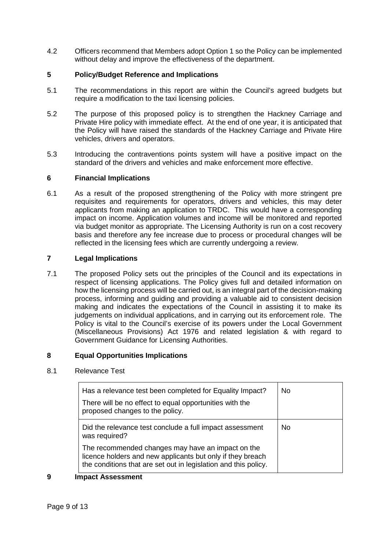4.2 Officers recommend that Members adopt Option 1 so the Policy can be implemented without delay and improve the effectiveness of the department.

#### **5 Policy/Budget Reference and Implications**

- 5.1 The recommendations in this report are within the Council's agreed budgets but require a modification to the taxi licensing policies.
- 5.2 The purpose of this proposed policy is to strengthen the Hackney Carriage and Private Hire policy with immediate effect. At the end of one year, it is anticipated that the Policy will have raised the standards of the Hackney Carriage and Private Hire vehicles, drivers and operators.
- 5.3 Introducing the contraventions points system will have a positive impact on the standard of the drivers and vehicles and make enforcement more effective.

#### **6 Financial Implications**

6.1 As a result of the proposed strengthening of the Policy with more stringent pre requisites and requirements for operators, drivers and vehicles, this may deter applicants from making an application to TRDC. This would have a corresponding impact on income. Application volumes and income will be monitored and reported via budget monitor as appropriate. The Licensing Authority is run on a cost recovery basis and therefore any fee increase due to process or procedural changes will be reflected in the licensing fees which are currently undergoing a review.

#### **7 Legal Implications**

7.1 The proposed Policy sets out the principles of the Council and its expectations in respect of licensing applications. The Policy gives full and detailed information on how the licensing process will be carried out, is an integral part of the decision-making process, informing and guiding and providing a valuable aid to consistent decision making and indicates the expectations of the Council in assisting it to make its judgements on individual applications, and in carrying out its enforcement role. The Policy is vital to the Council's exercise of its powers under the Local Government (Miscellaneous Provisions) Act 1976 and related legislation & with regard to Government Guidance for Licensing Authorities.

# **8 Equal Opportunities Implications**

#### 8.1 Relevance Test

| Has a relevance test been completed for Equality Impact?<br>There will be no effect to equal opportunities with the<br>proposed changes to the policy.                             | N <sub>0</sub> |
|------------------------------------------------------------------------------------------------------------------------------------------------------------------------------------|----------------|
| Did the relevance test conclude a full impact assessment<br>was required?                                                                                                          | No             |
| The recommended changes may have an impact on the<br>licence holders and new applicants but only if they breach<br>the conditions that are set out in legislation and this policy. |                |

#### **9 Impact Assessment**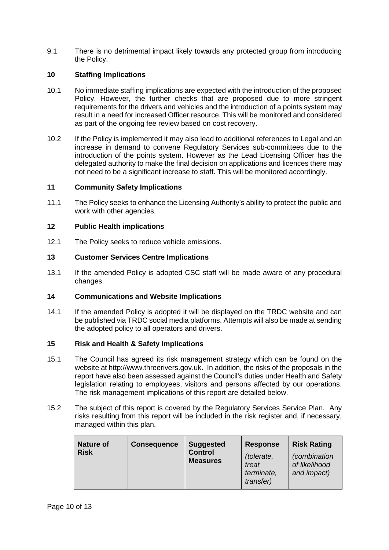9.1 There is no detrimental impact likely towards any protected group from introducing the Policy.

# **10 Staffing Implications**

- 10.1 No immediate staffing implications are expected with the introduction of the proposed Policy. However, the further checks that are proposed due to more stringent requirements for the drivers and vehicles and the introduction of a points system may result in a need for increased Officer resource. This will be monitored and considered as part of the ongoing fee review based on cost recovery.
- 10.2 If the Policy is implemented it may also lead to additional references to Legal and an increase in demand to convene Regulatory Services sub-committees due to the introduction of the points system. However as the Lead Licensing Officer has the delegated authority to make the final decision on applications and licences there may not need to be a significant increase to staff. This will be monitored accordingly.

# **11 Community Safety Implications**

11.1 The Policy seeks to enhance the Licensing Authority's ability to protect the public and work with other agencies.

# **12 Public Health implications**

12.1 The Policy seeks to reduce vehicle emissions.

# **13 Customer Services Centre Implications**

13.1 If the amended Policy is adopted CSC staff will be made aware of any procedural changes.

# **14 Communications and Website Implications**

14.1 If the amended Policy is adopted it will be displayed on the TRDC website and can be published via TRDC social media platforms. Attempts will also be made at sending the adopted policy to all operators and drivers.

# **15 Risk and Health & Safety Implications**

- 15.1 The Council has agreed its risk management strategy which can be found on the website at http://www.threerivers.gov.uk. In addition, the risks of the proposals in the report have also been assessed against the Council's duties under Health and Safety legislation relating to employees, visitors and persons affected by our operations. The risk management implications of this report are detailed below.
- 15.2 The subject of this report is covered by the Regulatory Services Service Plan. Any risks resulting from this report will be included in the risk register and, if necessary, managed within this plan.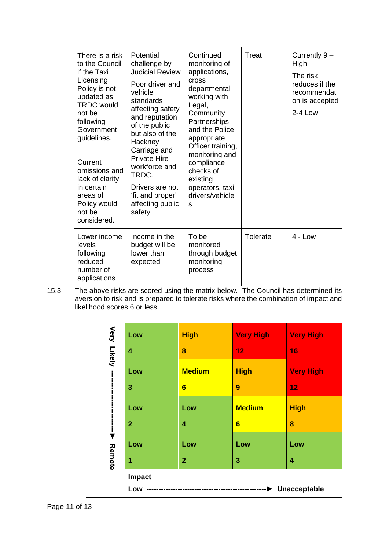| There is a risk<br>to the Council<br>if the Taxi<br>Licensing<br>Policy is not<br>updated as<br><b>TRDC</b> would<br>not be<br>following<br>Government<br>guidelines.<br>Current<br>omissions and<br>lack of clarity<br>in certain<br>areas of<br>Policy would<br>not be<br>considered. | Potential<br>challenge by<br><b>Judicial Review</b><br>Poor driver and<br>vehicle<br>standards<br>affecting safety<br>and reputation<br>of the public<br>but also of the<br>Hackney<br>Carriage and<br><b>Private Hire</b><br>workforce and<br>TRDC.<br>Drivers are not<br>'fit and proper'<br>affecting public<br>safety | Continued<br>monitoring of<br>applications,<br><b>cross</b><br>departmental<br>working with<br>Legal,<br>Community<br>Partnerships<br>and the Police,<br>appropriate<br>Officer training,<br>monitoring and<br>compliance<br>checks of<br>existing<br>operators, taxi<br>drivers/vehicle<br>S | <b>Treat</b>    | Currently 9-<br>High.<br>The risk<br>reduces if the<br>recommendati<br>on is accepted<br>2-4 Low |
|-----------------------------------------------------------------------------------------------------------------------------------------------------------------------------------------------------------------------------------------------------------------------------------------|---------------------------------------------------------------------------------------------------------------------------------------------------------------------------------------------------------------------------------------------------------------------------------------------------------------------------|-----------------------------------------------------------------------------------------------------------------------------------------------------------------------------------------------------------------------------------------------------------------------------------------------|-----------------|--------------------------------------------------------------------------------------------------|
| Lower income<br>levels<br>following<br>reduced<br>number of<br>applications                                                                                                                                                                                                             | Income in the<br>budget will be<br>lower than<br>expected                                                                                                                                                                                                                                                                 | To be<br>monitored<br>through budget<br>monitoring<br>process                                                                                                                                                                                                                                 | <b>Tolerate</b> | $4 - Low$                                                                                        |

15.3 The above risks are scored using the matrix below. The Council has determined its aversion to risk and is prepared to tolerate risks where the combination of impact and likelihood scores 6 or less.

|             | Low                                                    | <b>High</b>     | <b>Very High</b> | <b>Very High</b> |
|-------------|--------------------------------------------------------|-----------------|------------------|------------------|
| Very Likely | $\overline{\mathbf{4}}$                                | 8               | 12               | 16               |
|             | Low                                                    | <b>Medium</b>   | <b>High</b>      | <b>Very High</b> |
|             | 3                                                      | $6\phantom{1}6$ | 9                | 12               |
|             | Low                                                    | Low             | <b>Medium</b>    | <b>High</b>      |
|             | $\overline{2}$                                         | 4               | 6                | 8                |
|             | Low                                                    | Low             | Low              | Low              |
| Remote      | 1                                                      | $\overline{2}$  | 3                | 4                |
|             | Impact<br>Unacceptable<br>Low<br>--------------------- |                 |                  |                  |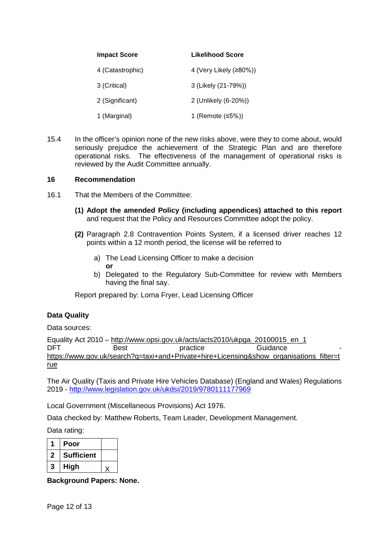| <b>Impact Score</b> | Likelihood Score       |
|---------------------|------------------------|
| 4 (Catastrophic)    | 4 (Very Likely (≥80%)) |
| 3 (Critical)        | 3 (Likely (21-79%))    |
| 2 (Significant)     | 2 (Unlikely (6-20%))   |
| 1 (Marginal)        | 1 (Remote $≤5\%)$ )    |

15.4 In the officer's opinion none of the new risks above, were they to come about, would seriously prejudice the achievement of the Strategic Plan and are therefore operational risks. The effectiveness of the management of operational risks is reviewed by the Audit Committee annually.

#### **16 Recommendation**

- 16.1 That the Members of the Committee:
	- **(1) Adopt the amended Policy (including appendices) attached to this report** and request that the Policy and Resources Committee adopt the policy.
	- **(2)** Paragraph 2.8 Contravention Points System, if a licensed driver reaches 12 points within a 12 month period, the license will be referred to
		- a) The Lead Licensing Officer to make a decision **or**
		- b) Delegated to the Regulatory Sub-Committee for review with Members having the final say.

Report prepared by: Lorna Fryer, Lead Licensing Officer

# **Data Quality**

Data sources:

Equality Act 2010 – [http://www.opsi.gov.uk/acts/acts2010/ukpga\\_20100015\\_en\\_1](http://www.opsi.gov.uk/acts/acts2010/ukpga_20100015_en_1) DFT Best practice Guidance [https://www.gov.uk/search?q=taxi+and+Private+hire+Licensing&show\\_organisations\\_filter=t](https://www.gov.uk/search?q=taxi+and+Private+hire+Licensing&show_organisations_filter=true) [rue](https://www.gov.uk/search?q=taxi+and+Private+hire+Licensing&show_organisations_filter=true)

The Air Quality (Taxis and Private Hire Vehicles Database) (England and Wales) Regulations 2019 - <http://www.legislation.gov.uk/ukdsi/2019/9780111177969>

Local Government (Miscellaneous Provisions) Act 1976.

Data checked by: Matthew Roberts, Team Leader, Development Management.

Data rating:

|   | Poor              |  |
|---|-------------------|--|
| 2 | <b>Sufficient</b> |  |
| 3 | High              |  |

**Background Papers: None.**